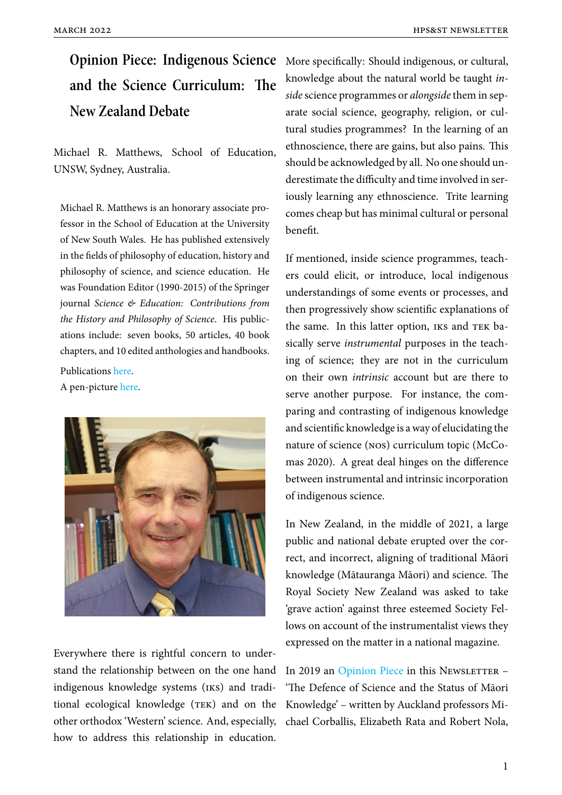# **and the Science Curriculum: The New Zealand Debate**

Michael R. Matthews, School of Education, UNSW, Sydney, Australia.

Michael R. Matthews is an honorary associate professor in the School of Education at the University of New South Wales. He has published extensively in the fields of philosophy of education, history and philosophy of science, and science education. He was Foundation Editor (1990-2015) of the Springer journal *Science & Education: Contributions from the History and Philosophy of Science*. His publications include: seven books, 50 articles, 40 book chapters, and 10 edited anthologies and handbooks.

Publications here.

A pen-picture here.



Everywhere there is rightful concern to understand the relationship between on the one hand indigenous knowledge systems (iks) and traditional ecological knowledge (TEK) and on the other orthodox 'Western' science. And, especially, how to address this relationship in education.

**Opinion Piece: Indigenous Science** More specifically: Should indigenous, or cultural, knowledge about the natural world be taught *inside* science programmes or *alongside* them in separate social science, geography, religion, or cultural studies programmes? In the learning of an ethnoscience, there are gains, but also pains. This should be acknowledged by all. No one should underestimate the difficulty and time involved in seriously learning any ethnoscience. Trite learning comes cheap but has minimal cultural or personal benefit.

> If mentioned, inside science programmes, teachers could elicit, or introduce, local indigenous understandings of some events or processes, and then progressively show scientific explanations of the same. In this latter option, IKS and TEK basically serve *instrumental* purposes in the teaching of science; they are not in the curriculum on their own *intrinsic* account but are there to serve another purpose. For instance, the comparing and contrasting of indigenous knowledge and scientific knowledge is a way of elucidating the nature of science (nos) curriculum topic (McComas 2020). A great deal hinges on the difference between instrumental and intrinsic incorporation of indigenous science.

> In New Zealand, in the middle of 2021, a large public and national debate erupted over the correct, and incorrect, aligning of traditional Māori knowledge (Mātauranga Māori) and science. The Royal Society New Zealand was asked to take 'grave action' against three esteemed Society Fellows on account of the instrumentalist views they expressed on the matter in a national magazine.

> In 2019 an Opinion Piece in this Newsletter – 'The Defence of Science and the Status of Māori Knowledge' – written by Auckland professors Michael Corb[allis, Elizabeth](https://www.hpsst.com/uploads/6/2/9/3/62931075/novoped2019.pdf) Rata and Robert Nola,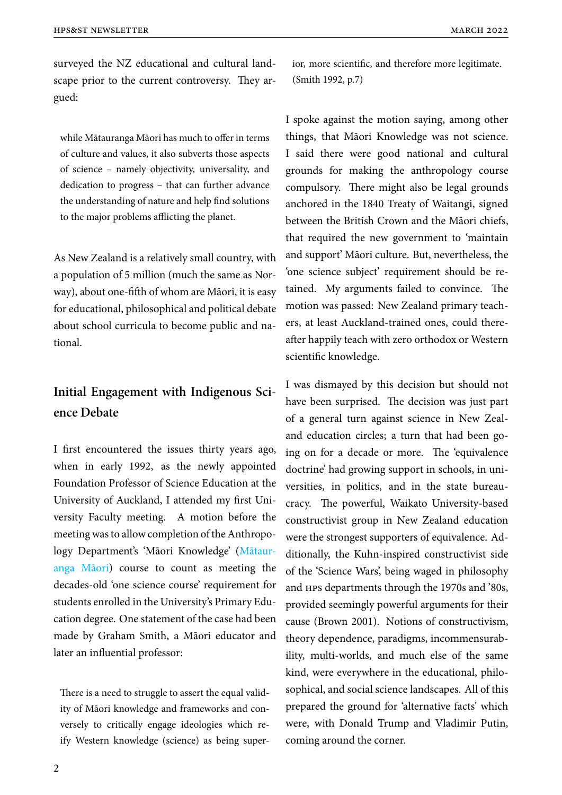surveyed the NZ educational and cultural landscape prior to the current controversy. They argued:

while Mātauranga Māori has much to offer in terms of culture and values, it also subverts those aspects of science – namely objectivity, universality, and dedication to progress – that can further advance the understanding of nature and help find solutions to the major problems afflicting the planet.

As New Zealand is a relatively small country, with a population of 5 million (much the same as Norway), about one-fifth of whom are Māori, it is easy for educational, philosophical and political debate about school curricula to become public and national.

# **Initial Engagement with Indigenous Science Debate**

I first encountered the issues thirty years ago, when in early 1992, as the newly appointed Foundation Professor of Science Education at the University of Auckland, I attended my first University Faculty meeting. A motion before the meeting was to allow completion of the Anthropology Department's 'Māori Knowledge' (Mātauranga Māori) course to count as meeting the decades-old 'one science course' requirement for students enrolled in the University's Prim[ary Edu](https://www.sciencelearn.org.nz/resources/2545-matauranga-maori-and-science)[cation degre](https://www.sciencelearn.org.nz/resources/2545-matauranga-maori-and-science)e. One statement of the case had been made by Graham Smith, a Māori educator and later an influential professor:

There is a need to struggle to assert the equal validity of Māori knowledge and frameworks and conversely to critically engage ideologies which reify Western knowledge (science) as being superior, more scientific, and therefore more legitimate. (Smith 1992, p.7)

I spoke against the motion saying, among other things, that Māori Knowledge was not science. I said there were good national and cultural grounds for making the anthropology course compulsory. There might also be legal grounds anchored in the 1840 Treaty of Waitangi, signed between the British Crown and the Māori chiefs, that required the new government to 'maintain and support' Māori culture. But, nevertheless, the 'one science subject' requirement should be retained. My arguments failed to convince. The motion was passed: New Zealand primary teachers, at least Auckland-trained ones, could thereafter happily teach with zero orthodox or Western scientific knowledge.

I was dismayed by this decision but should not have been surprised. The decision was just part of a general turn against science in New Zealand education circles; a turn that had been going on for a decade or more. The 'equivalence doctrine' had growing support in schools, in universities, in politics, and in the state bureaucracy. The powerful, Waikato University-based constructivist group in New Zealand education were the strongest supporters of equivalence. Additionally, the Kuhn-inspired constructivist side of the 'Science Wars', being waged in philosophy and hps departments through the 1970s and '80s, provided seemingly powerful arguments for their cause (Brown 2001). Notions of constructivism, theory dependence, paradigms, incommensurability, multi-worlds, and much else of the same kind, were everywhere in the educational, philosophical, and social science landscapes. All of this prepared the ground for 'alternative facts' which were, with Donald Trump and Vladimir Putin, coming around the corner.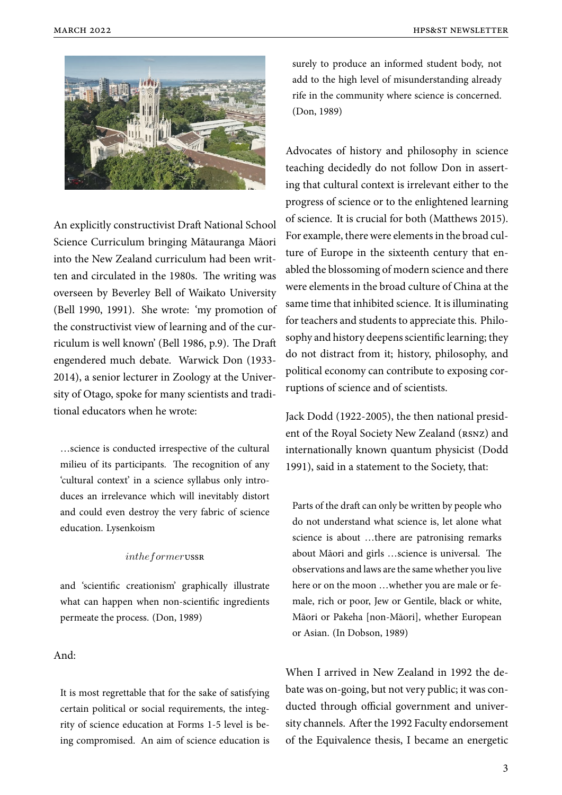

An explicitly constructivist Draft National School Science Curriculum bringing Mātauranga Māori into the New Zealand curriculum had been written and circulated in the 1980s. The writing was overseen by Beverley Bell of Waikato University (Bell 1990, 1991). She wrote: 'my promotion of the constructivist view of learning and of the curriculum is well known' (Bell 1986, p.9). The Draft engendered much debate. Warwick Don (1933- 2014), a senior lecturer in Zoology at the University of Otago, spoke for many scientists and traditional educators when he wrote:

…science is conducted irrespective of the cultural milieu of its participants. The recognition of any 'cultural context' in a science syllabus only introduces an irrelevance which will inevitably distort and could even destroy the very fabric of science education. Lysenkoism

#### *intheformer*ussr

and 'scientific creationism' graphically illustrate what can happen when non-scientific ingredients permeate the process. (Don, 1989)

## And:

It is most regrettable that for the sake of satisfying certain political or social requirements, the integrity of science education at Forms 1-5 level is being compromised. An aim of science education is surely to produce an informed student body, not add to the high level of misunderstanding already rife in the community where science is concerned. (Don, 1989)

Advocates of history and philosophy in science teaching decidedly do not follow Don in asserting that cultural context is irrelevant either to the progress of science or to the enlightened learning of science. It is crucial for both (Matthews 2015). For example, there were elements in the broad culture of Europe in the sixteenth century that enabled the blossoming of modern science and there were elements in the broad culture of China at the same time that inhibited science. It is illuminating for teachers and students to appreciate this. Philosophy and history deepens scientific learning; they do not distract from it; history, philosophy, and political economy can contribute to exposing corruptions of science and of scientists.

Jack Dodd (1922-2005), the then national president of the Royal Society New Zealand (RSNZ) and internationally known quantum physicist (Dodd 1991), said in a statement to the Society, that:

Parts of the draft can only be written by people who do not understand what science is, let alone what science is about …there are patronising remarks about Māori and girls …science is universal. The observations and laws are the same whether you live here or on the moon …whether you are male or female, rich or poor, Jew or Gentile, black or white, Māori or Pakeha [non-Māori], whether European or Asian. (In Dobson, 1989)

When I arrived in New Zealand in 1992 the debate was on-going, but not very public; it was conducted through official government and university channels. After the 1992 Faculty endorsement of the Equivalence thesis, I became an energetic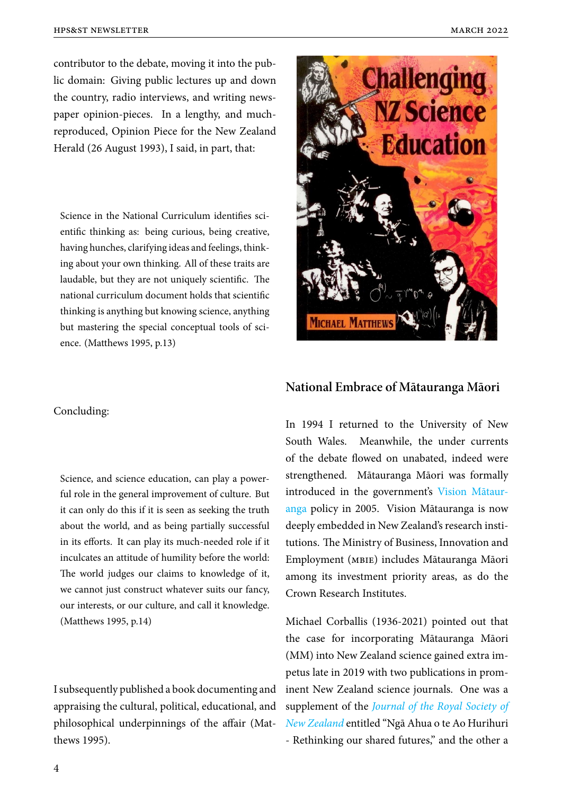contributor to the debate, moving it into the public domain: Giving public lectures up and down the country, radio interviews, and writing newspaper opinion-pieces. In a lengthy, and muchreproduced, Opinion Piece for the New Zealand Herald (26 August 1993), I said, in part, that:

Science in the National Curriculum identifies scientific thinking as: being curious, being creative, having hunches, clarifying ideas and feelings, thinking about your own thinking. All of these traits are laudable, but they are not uniquely scientific. The national curriculum document holds that scientific thinking is anything but knowing science, anything but mastering the special conceptual tools of science. (Matthews 1995, p.13)



# **National Embrace of Mātauranga Māori**

#### Concluding:

Science, and science education, can play a powerful role in the general improvement of culture. But it can only do this if it is seen as seeking the truth about the world, and as being partially successful in its efforts. It can play its much-needed role if it inculcates an attitude of humility before the world: The world judges our claims to knowledge of it, we cannot just construct whatever suits our fancy, our interests, or our culture, and call it knowledge. (Matthews 1995, p.14)

I subsequently published a book documenting and appraising the cultural, political, educational, and philosophical underpinnings of the affair (Matthews 1995).

In 1994 I returned to the University of New South Wales. Meanwhile, the under currents of the debate flowed on unabated, indeed were strengthened. Mātauranga Māori was formally introduced in the government's Vision Mātauranga policy in 2005. Vision Mātauranga is now deeply embedded in New Zealand's research institutions. The Ministry of Business, [Innovation and](https://www.mbie.govt.nz/science-and-technology/science-and-innovation/agencies-policies-and-budget-initiatives/vision-matauranga-policy/) [Emp](https://www.mbie.govt.nz/science-and-technology/science-and-innovation/agencies-policies-and-budget-initiatives/vision-matauranga-policy/)loyment (mbie) includes Mātauranga Māori among its investment priority areas, as do the Crown Research Institutes.

Michael Corballis (1936-2021) pointed out that the case for incorporating Mātauranga Māori (MM) into New Zealand science gained extra impetus late in 2019 with two publications in prominent New Zealand science journals. One was a supplement of the *Journal of the Royal Society of New Zealand* entitled "Ngā Ahua o te Ao Hurihuri - Rethinking our shared futures," and the other a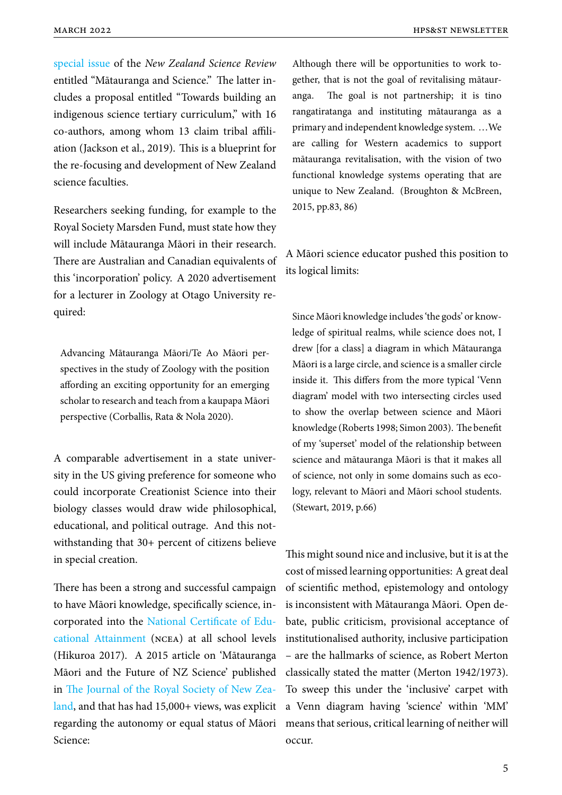special issue of the *New Zealand Science Review* entitled "Mātauranga and Science." The latter includes a proposal entitled "Towards building an [indigenous s](https://scientists.org.nz/resources/Documents/NZSR/NZSR76(1-2).pdf)cience tertiary curriculum," with 16 co-authors, among whom 13 claim tribal affiliation (Jackson et al., 2019). This is a blueprint for the re-focusing and development of New Zealand science faculties.

Researchers seeking funding, for example to the Royal Society Marsden Fund, must state how they will include Mātauranga Māori in their research. There are Australian and Canadian equivalents of this 'incorporation' policy. A 2020 advertisement for a lecturer in Zoology at Otago University required:

Advancing Mātauranga Māori/Te Ao Māori perspectives in the study of Zoology with the position affording an exciting opportunity for an emerging scholar to research and teach from a kaupapa Māori perspective (Corballis, Rata & Nola 2020).

A comparable advertisement in a state university in the US giving preference for someone who could incorporate Creationist Science into their biology classes would draw wide philosophical, educational, and political outrage. And this notwithstanding that 30+ percent of citizens believe in special creation.

There has been a strong and successful campaign to have Māori knowledge, specifically science, incorporated into the National Certificate of Educational Attainment (ncea) at all school levels (Hikuroa 2017). A 2015 article on 'Mātauranga Māori and the Futu[re of NZ Science' published](https://www.nzqa.govt.nz/ncea/) in [The Journal of the](https://www.nzqa.govt.nz/ncea/) Royal Society of New Zealand, and that has had 15,000+ views, was explicit regarding the autonomy or equal status of Māori Sc[ience:](https://www.royalsociety.org.nz/what-we-do/our-journals/journal-of-the-royal-society/)

Although there will be opportunities to work together, that is not the goal of revitalising mātauranga. The goal is not partnership; it is tino rangatiratanga and instituting mātauranga as a primary and independent knowledge system. …We are calling for Western academics to support mātauranga revitalisation, with the vision of two functional knowledge systems operating that are unique to New Zealand. (Broughton & McBreen, 2015, pp.83, 86)

A Māori science educator pushed this position to its logical limits:

Since Māori knowledge includes 'the gods' or knowledge of spiritual realms, while science does not, I drew [for a class] a diagram in which Mātauranga Māori is a large circle, and science is a smaller circle inside it. This differs from the more typical 'Venn diagram' model with two intersecting circles used to show the overlap between science and Māori knowledge (Roberts 1998; Simon 2003). The benefit of my 'superset' model of the relationship between science and mātauranga Māori is that it makes all of science, not only in some domains such as ecology, relevant to Māori and Māori school students. (Stewart, 2019, p.66)

This might sound nice and inclusive, but it is at the cost of missed learning opportunities: A great deal of scientific method, epistemology and ontology is inconsistent with Mātauranga Māori. Open debate, public criticism, provisional acceptance of institutionalised authority, inclusive participation – are the hallmarks of science, as Robert Merton classically stated the matter (Merton 1942/1973). To sweep this under the 'inclusive' carpet with a Venn diagram having 'science' within 'MM' means that serious, critical learning of neither will occur.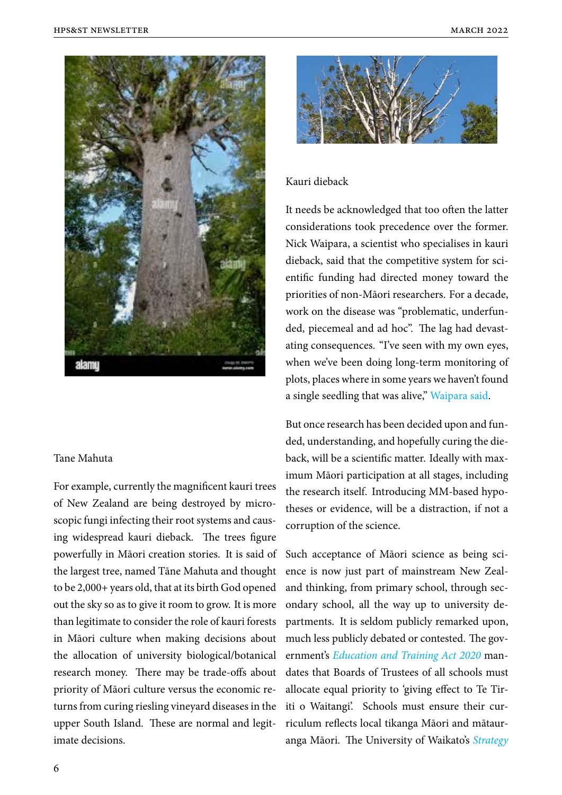

#### Tane Mahuta

For example, currently the magnificent kauri trees of New Zealand are being destroyed by microscopic fungi infecting their root systems and causing widespread kauri dieback. The trees figure powerfully in Māori creation stories. It is said of the largest tree, named Tāne Mahuta and thought to be 2,000+ years old, that at its birth God opened out the sky so as to give it room to grow. It is more than legitimate to consider the role of kauri forests in Māori culture when making decisions about the allocation of university biological/botanical research money. There may be trade-offs about priority of Māori culture versus the economic returns from curing riesling vineyard diseases in the upper South Island. These are normal and legitimate decisions.



#### Kauri dieback

It needs be acknowledged that too often the latter considerations took precedence over the former. Nick Waipara, a scientist who specialises in kauri dieback, said that the competitive system for scientific funding had directed money toward the priorities of non-Māori researchers. For a decade, work on the disease was "problematic, underfunded, piecemeal and ad hoc". The lag had devastating consequences. "I've seen with my own eyes, when we've been doing long-term monitoring of plots, places where in some years we haven't found a single seedling that was alive," Waipara said.

But once research has been decided upon and funded, understanding, and hopefu[lly curing the](https://www.smh.com.au/world/oceania/maori-intervention-gives-science-a-chance-to-save-forest-god-20220310-p5a3g6.html) dieback, will be a scientific matter. Ideally with maximum Māori participation at all stages, including the research itself. Introducing MM-based hypotheses or evidence, will be a distraction, if not a corruption of the science.

Such acceptance of Māori science as being science is now just part of mainstream New Zealand thinking, from primary school, through secondary school, all the way up to university departments. It is seldom publicly remarked upon, much less publicly debated or contested. The government's *Education and Training Act 2020* mandates that Boards of Trustees of all schools must allocate equal priority to 'giving effect to Te Tiriti o Wait[angi'. Schools must ensure their](https://www.legislation.govt.nz/act/public/2020/0038/latest/LMS170676.html) curriculum reflects local tikanga Māori and mātauranga Māori. The University of Waikato's *Strategy*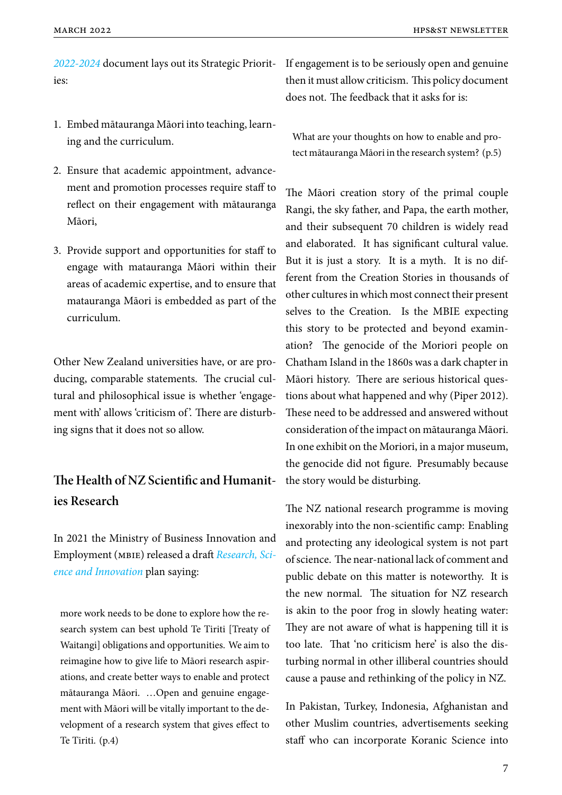*2022-2024* document lays out its Strategic Priorit-If engagement is to be seriously open and genuine ies:

- 1. Embed mātauranga Māori into teaching, learning and the curriculum.
- 2. Ensure that academic appointment, advancement and promotion processes require staff to reflect on their engagement with mātauranga Māori,
- 3. Provide support and opportunities for staff to engage with matauranga Māori within their areas of academic expertise, and to ensure that matauranga Māori is embedded as part of the curriculum.

Other New Zealand universities have, or are producing, comparable statements. The crucial cultural and philosophical issue is whether 'engagement with' allows 'criticism of'. There are disturbing signs that it does not so allow.

# **The Health of NZ Scientific and Humanities Research**

In 2021 the Ministry of Business Innovation and Employment (mbie) released a draft *Research, Science and Innovation* plan saying:

[more work needs to](https://www.mbie.govt.nz/dmsdocument/17634-future-pathways-green-paper-summary) be done to explore how the research system can best uphold Te Tiriti [Treaty of Waitangi] obligations and opportunities. We aim to reimagine how to give life to Māori research aspirations, and create better ways to enable and protect mātauranga Māori. …Open and genuine engagement with Māori will be vitally important to the development of a research system that gives effect to Te Tiriti. (p.4)

[then it must allow criticism. This policy document](https://www.waikato.ac.nz/__data/assets/pdf_file/0012/764967/University-of-Waikato-Strategy-2022-2024_web-version.pdf) does not. The feedback that it asks for is:

What are your thoughts on how to enable and protect mātauranga Māori in the research system? (p.5)

The Māori creation story of the primal couple Rangi, the sky father, and Papa, the earth mother, and their subsequent 70 children is widely read and elaborated. It has significant cultural value. But it is just a story. It is a myth. It is no different from the Creation Stories in thousands of other cultures in which most connect their present selves to the Creation. Is the MBIE expecting this story to be protected and beyond examination? The genocide of the Moriori people on Chatham Island in the 1860s was a dark chapter in Māori history. There are serious historical questions about what happened and why (Piper 2012). These need to be addressed and answered without consideration of the impact on mātauranga Māori. In one exhibit on the Moriori, in a major museum, the genocide did not figure. Presumably because the story would be disturbing.

The NZ national research programme is moving inexorably into the non-scientific camp: Enabling and protecting any ideological system is not part of science. The near-national lack of comment and public debate on this matter is noteworthy. It is the new normal. The situation for NZ research is akin to the poor frog in slowly heating water: They are not aware of what is happening till it is too late. That 'no criticism here' is also the disturbing normal in other illiberal countries should cause a pause and rethinking of the policy in NZ.

In Pakistan, Turkey, Indonesia, Afghanistan and other Muslim countries, advertisements seeking staff who can incorporate Koranic Science into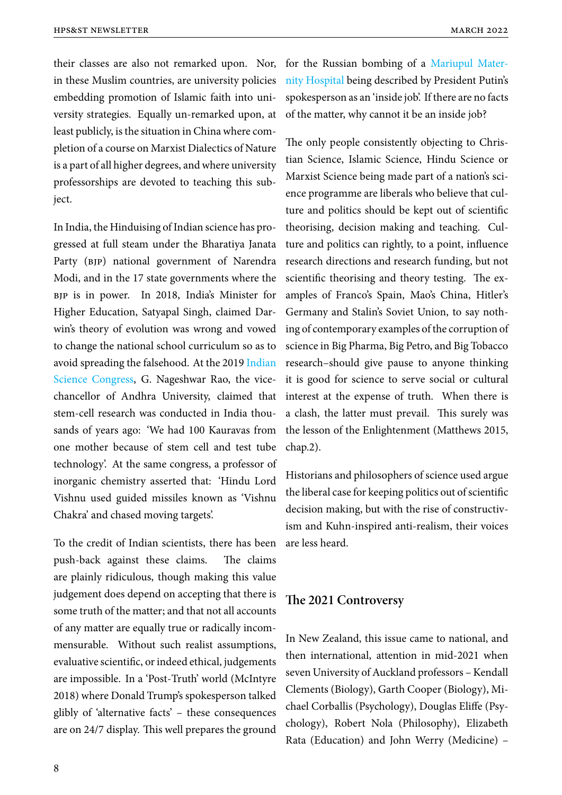their classes are also not remarked upon. Nor, in these Muslim countries, are university policies embedding promotion of Islamic faith into university strategies. Equally un-remarked upon, at least publicly, is the situation in China where completion of a course on Marxist Dialectics of Nature is a part of all higher degrees, and where university professorships are devoted to teaching this subject.

In India, the Hinduising of Indian science has progressed at full steam under the Bharatiya Janata Party (BJP) national government of Narendra Modi, and in the 17 state governments where the bjp is in power. In 2018, India's Minister for Higher Education, Satyapal Singh, claimed Darwin's theory of evolution was wrong and vowed to change the national school curriculum so as to avoid spreading the falsehood. At the 2019 Indian Science Congress, G. Nageshwar Rao, the vicechancellor of Andhra University, claimed that stem-cell research was conducted in Indi[a thou](https://www.theguardian.com/world/2019/jan/07/india-scientists-claim-ancient-hindus-invented-stem-cell-research-dismiss-einstein)[sands of years ago](https://www.theguardian.com/world/2019/jan/07/india-scientists-claim-ancient-hindus-invented-stem-cell-research-dismiss-einstein): 'We had 100 Kauravas from one mother because of stem cell and test tube technology'. At the same congress, a professor of inorganic chemistry asserted that: 'Hindu Lord Vishnu used guided missiles known as 'Vishnu Chakra' and chased moving targets'.

To the credit of Indian scientists, there has been push-back against these claims. The claims are plainly ridiculous, though making this value judgement does depend on accepting that there is some truth of the matter; and that not all accounts of any matter are equally true or radically incommensurable. Without such realist assumptions, evaluative scientific, or indeed ethical, judgements are impossible. In a 'Post-Truth' world (McIntyre 2018) where Donald Trump's spokesperson talked glibly of 'alternative facts' – these consequences are on 24/7 display. This well prepares the ground

for the Russian bombing of a Mariupul Maternity Hospital being described by President Putin's spokesperson as an 'inside job'. If there are no facts of the matter, why cannot it bea[n inside job?](https://www.bbc.com/news/world-europe-60675599?piano-modal)

The only people consistently objecting to Christian Science, Islamic Science, Hindu Science or Marxist Science being made part of a nation's science programme are liberals who believe that culture and politics should be kept out of scientific theorising, decision making and teaching. Culture and politics can rightly, to a point, influence research directions and research funding, but not scientific theorising and theory testing. The examples of Franco's Spain, Mao's China, Hitler's Germany and Stalin's Soviet Union, to say nothing of contemporary examples of the corruption of science in Big Pharma, Big Petro, and Big Tobacco research–should give pause to anyone thinking it is good for science to serve social or cultural interest at the expense of truth. When there is a clash, the latter must prevail. This surely was the lesson of the Enlightenment (Matthews 2015, chap.2).

Historians and philosophers of science used argue the liberal case for keeping politics out of scientific decision making, but with the rise of constructivism and Kuhn-inspired anti-realism, their voices are less heard.

# **The 2021 Controversy**

In New Zealand, this issue came to national, and then international, attention in mid-2021 when seven University of Auckland professors – Kendall Clements (Biology), Garth Cooper (Biology), Michael Corballis (Psychology), Douglas Eliffe (Psychology), Robert Nola (Philosophy), Elizabeth Rata (Education) and John Werry (Medicine) –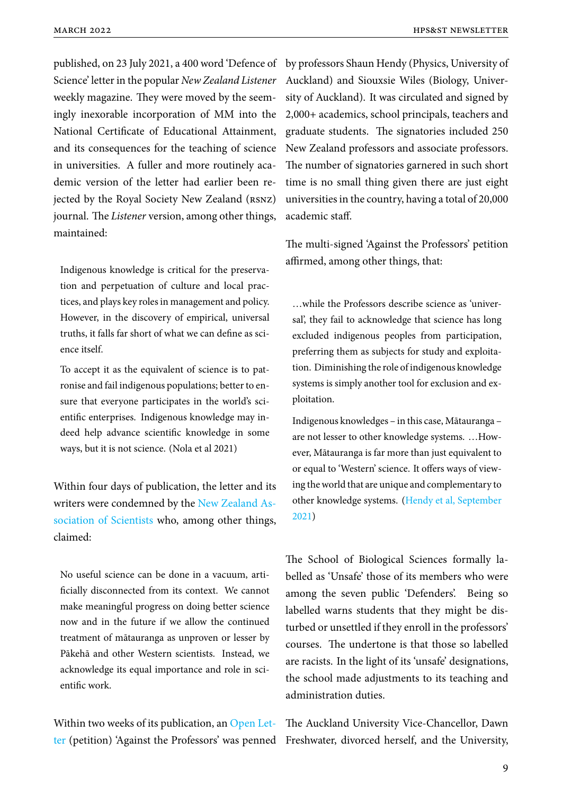published, on 23 July 2021, a 400 word 'Defence of by professors Shaun Hendy (Physics, University of Science' letter in the popular *New Zealand Listener* weekly magazine. They were moved by the seemingly inexorable incorporation of MM into the National Certificate of Educational Attainment, and its consequences for the teaching of science in universities. A fuller and more routinely academic version of the letter had earlier been rejected by the Royal Society New Zealand (rsnz) journal. The *Listener* version, among other things, maintained:

Indigenous knowledge is critical for the preservation and perpetuation of culture and local practices, and plays key roles in management and policy. However, in the discovery of empirical, universal truths, it falls far short of what we can define as science itself.

To accept it as the equivalent of science is to patronise and fail indigenous populations; better to ensure that everyone participates in the world's scientific enterprises. Indigenous knowledge may indeed help advance scientific knowledge in some ways, but it is not science. (Nola et al 2021)

Within four days of publication, the letter and its writers were condemned by the New Zealand Association of Scientists who, among other things, claimed:

[No useful science can](https://scientists.org.nz/resources/Documents/PressReleases/NZAS-M%C4%81tauranga%20and%20Science.pdf) be done in a vacuum, artificially disconnected from its context. We cannot make meaningful progress on doing better science now and in the future if we allow the continued treatment of mātauranga as unproven or lesser by Pākehā and other Western scientists. Instead, we acknowledge its equal importance and role in scientific work.

Within two weeks of its publication, an Open Letter (petition) 'Against the Professors' was penned Freshwater, divorced herself, and the University,

Auckland) and Siouxsie Wiles (Biology, University of Auckland). It was circulated and signed by 2,000+ academics, school principals, teachers and graduate students. The signatories included 250 New Zealand professors and associate professors. The number of signatories garnered in such short time is no small thing given there are just eight universities in the country, having a total of 20,000 academic staff.

The multi-signed 'Against the Professors' petition affirmed, among other things, that:

…while the Professors describe science as 'universal', they fail to acknowledge that science has long excluded indigenous peoples from participation, preferring them as subjects for study and exploitation. Diminishing the role of indigenous knowledge systems is simply another tool for exclusion and exploitation.

Indigenous knowledges – in this case, Mātauranga – are not lesser to other knowledge systems. …However, Mātauranga is far more than just equivalent to or equal to 'Western' science. It offers ways of viewing the world that are unique and complementary to other knowledge systems. (Hendy et al, September 2021)

[The S](https://docs.google.com/forms/d/e/1FAIpQLSdRwHTSKURHaalXZSNo2oluN9OjuDxK6UDG4gb6t7NhAPO3Zg/viewform)chool of Biological Sciences formally labelled as 'Unsafe' those of its members who were among the seven public 'Defenders'. Being so labelled warns students that they might be disturbed or unsettled if they enroll in the professors' courses. The undertone is that those so labelled are racists. In the light of its 'unsafe' designations, the school made adjustments to its teaching and administration duties.

The Auckland University Vice-Chancellor, Dawn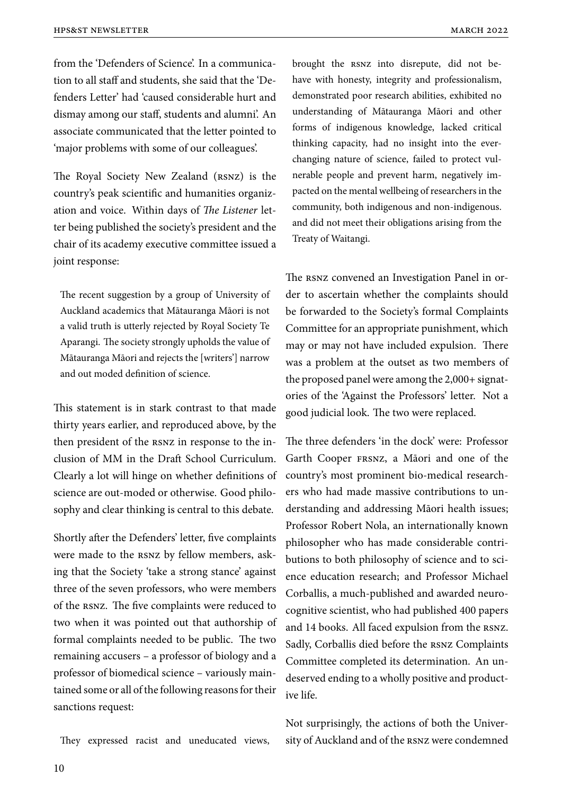from the 'Defenders of Science'. In a communication to all staff and students, she said that the 'Defenders Letter' had 'caused considerable hurt and dismay among our staff, students and alumni'. An associate communicated that the letter pointed to 'major problems with some of our colleagues'.

The Royal Society New Zealand (RSNZ) is the country's peak scientific and humanities organization and voice. Within days of *The Listener* letter being published the society's president and the chair of its academy executive committee issued a joint response:

The recent suggestion by a group of University of Auckland academics that Mātauranga Māori is not a valid truth is utterly rejected by Royal Society Te Aparangi. The society strongly upholds the value of Mātauranga Māori and rejects the [writers'] narrow and out moded definition of science.

This statement is in stark contrast to that made thirty years earlier, and reproduced above, by the then president of the rsnz in response to the inclusion of MM in the Draft School Curriculum. Clearly a lot will hinge on whether definitions of science are out-moded or otherwise. Good philosophy and clear thinking is central to this debate.

Shortly after the Defenders' letter, five complaints were made to the rsnz by fellow members, asking that the Society 'take a strong stance' against three of the seven professors, who were members of the rsnz. The five complaints were reduced to two when it was pointed out that authorship of formal complaints needed to be public. The two remaining accusers – a professor of biology and a professor of biomedical science – variously maintained some or all of the following reasons for their sanctions request:

They expressed racist and uneducated views,

brought the rsnz into disrepute, did not behave with honesty, integrity and professionalism, demonstrated poor research abilities, exhibited no understanding of Mātauranga Māori and other forms of indigenous knowledge, lacked critical thinking capacity, had no insight into the everchanging nature of science, failed to protect vulnerable people and prevent harm, negatively impacted on the mental wellbeing of researchers in the community, both indigenous and non-indigenous. and did not meet their obligations arising from the Treaty of Waitangi.

The rsnz convened an Investigation Panel in order to ascertain whether the complaints should be forwarded to the Society's formal Complaints Committee for an appropriate punishment, which may or may not have included expulsion. There was a problem at the outset as two members of the proposed panel were among the 2,000+ signatories of the 'Against the Professors' letter. Not a good judicial look. The two were replaced.

The three defenders 'in the dock' were: Professor Garth Cooper frsnz, a Māori and one of the country's most prominent bio-medical researchers who had made massive contributions to understanding and addressing Māori health issues; Professor Robert Nola, an internationally known philosopher who has made considerable contributions to both philosophy of science and to science education research; and Professor Michael Corballis, a much-published and awarded neurocognitive scientist, who had published 400 papers and 14 books. All faced expulsion from the rsnz. Sadly, Corballis died before the rsnz Complaints Committee completed its determination. An undeserved ending to a wholly positive and productive life.

Not surprisingly, the actions of both the University of Auckland and of the rsnz were condemned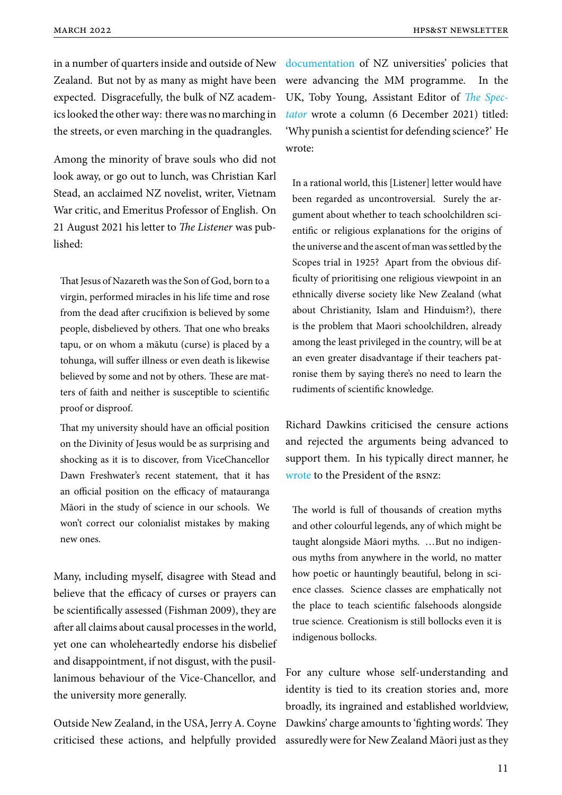in a number of quarters inside and outside of New Zealand. But not by as many as might have been expected. Disgracefully, the bulk of NZ academics looked the other way: there was no marching in the streets, or even marching in the quadrangles.

Among the minority of brave souls who did not look away, or go out to lunch, was Christian Karl Stead, an acclaimed NZ novelist, writer, Vietnam War critic, and Emeritus Professor of English. On 21 August 2021 his letter to *The Listener* was published:

That Jesus of Nazareth was the Son of God, born to a virgin, performed miracles in his life time and rose from the dead after crucifixion is believed by some people, disbelieved by others. That one who breaks tapu, or on whom a mākutu (curse) is placed by a tohunga, will suffer illness or even death is likewise believed by some and not by others. These are matters of faith and neither is susceptible to scientific proof or disproof.

That my university should have an official position on the Divinity of Jesus would be as surprising and shocking as it is to discover, from ViceChancellor Dawn Freshwater's recent statement, that it has an official position on the efficacy of matauranga Māori in the study of science in our schools. We won't correct our colonialist mistakes by making new ones.

Many, including myself, disagree with Stead and believe that the efficacy of curses or prayers can be scientifically assessed (Fishman 2009), they are after all claims about causal processes in the world, yet one can wholeheartedly endorse his disbelief and disappointment, if not disgust, with the pusillanimous behaviour of the Vice-Chancellor, and the university more generally.

Outside New Zealand, in the USA, Jerry A. Coyne criticised these actions, and helpfully provided

documentation of NZ universities' policies that were advancing the MM programme. In the UK, Toby Young, Assistant Editor of *The Spectator* [wrote a co](https://whyevolutionistrue.com/2022/02/18/a-new-zealand-university-surrenders-to-indigenous-ways-of-knowing/)lumn (6 December 2021) titled: 'Why punish a scientist for defending science?' He wrote:

In a rational world, this [Listener] letter would have been regarded as uncontroversial. Surely the argument about whether to teach schoolchildren scientific or religious explanations for the origins of the universe and the ascent of man was settled by the Scopes trial in 1925? Apart from the obvious difficulty of prioritising one religious viewpoint in an ethnically diverse society like New Zealand (what about Christianity, Islam and Hinduism?), there is the problem that Maori schoolchildren, already among the least privileged in the country, will be at an even greater disadvantage if their teachers patronise them by saying there's no need to learn the rudiments of scientific knowledge.

Richard Dawkins criticised the censure actions and rejected the arguments being advanced to support them. In his typically direct manner, he wrote to the President of the rsnz:

The world is full of thousands of creation myths [and o](https://whyevolutionistrue.com/2021/12/04/the-teach-maori-other-ways-of-knowing-in-science-class-continues-richard-dawkins-weighs-in/)ther colourful legends, any of which might be taught alongside Māori myths. …But no indigenous myths from anywhere in the world, no matter how poetic or hauntingly beautiful, belong in science classes. Science classes are emphatically not the place to teach scientific falsehoods alongside true science. Creationism is still bollocks even it is indigenous bollocks.

For any culture whose self-understanding and identity is tied to its creation stories and, more broadly, its ingrained and established worldview, Dawkins' charge amounts to 'fighting words'. They assuredly were for New Zealand Māori just as they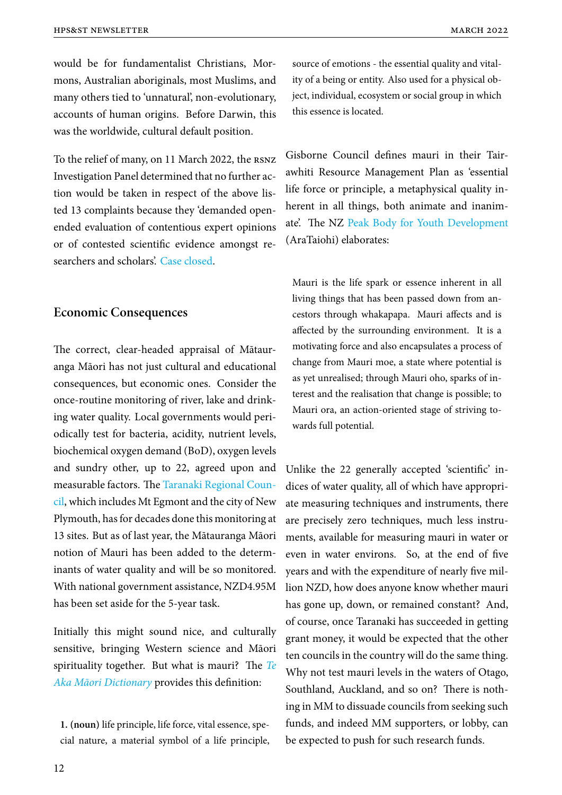would be for fundamentalist Christians, Mormons, Australian aboriginals, most Muslims, and many others tied to 'unnatural', non-evolutionary, accounts of human origins. Before Darwin, this was the worldwide, cultural default position.

To the relief of many, on 11 March 2022, the rsnz Investigation Panel determined that no further action would be taken in respect of the above listed 13 complaints because they 'demanded openended evaluation of contentious expert opinions or of contested scientific evidence amongst researchers and scholars'. Case closed.

# **Economic Consequ[ences](https://www.royalsociety.org.nz/news/statement-in-relation-to-complaints-about-a-letter-to-the-new-zealand-listener)**

The correct, clear-headed appraisal of Mātauranga Māori has not just cultural and educational consequences, but economic ones. Consider the once-routine monitoring of river, lake and drinking water quality. Local governments would periodically test for bacteria, acidity, nutrient levels, biochemical oxygen demand (BoD), oxygen levels and sundry other, up to 22, agreed upon and measurable factors. The Taranaki Regional Council, which includes Mt Egmont and the city of New Plymouth, has for decades done this monitoring at 13 sites. But as of last ye[ar, the Mātauranga Māori](https://www.newzealand.com/au/taranaki/?ds_rl=1256691&ds_rl=1256799&gclid=Cj0KCQiA95aRBhCsARIsAC2xvfxFuE8F3EA2tuIOipjBj54boOiznXRj69ER7xYmADARViFoeLWT76EaAksfEALw_wcB&gclsrc) [no](https://www.newzealand.com/au/taranaki/?ds_rl=1256691&ds_rl=1256799&gclid=Cj0KCQiA95aRBhCsARIsAC2xvfxFuE8F3EA2tuIOipjBj54boOiznXRj69ER7xYmADARViFoeLWT76EaAksfEALw_wcB&gclsrc)tion of Mauri has been added to the determinants of water quality and will be so monitored. With national government assistance, NZD4.95M has been set aside for the 5-year task.

Initially this might sound nice, and culturally sensitive, bringing Western science and Māori spirituality together. But what is mauri? The *Te Aka Māori Dictionary* provides this definition:

**1. (noun)** [life principle](https://maoridictionary.co.nz/word/3960), life force, vital essence, special nature, a material symbol of a life principle, source of emotions - the essential quality and vitality of a being or entity. Also used for a physical object, individual, ecosystem or social group in which this essence is located.

Gisborne Council defines mauri in their Tairawhiti Resource Management Plan as 'essential life force or principle, a metaphysical quality inherent in all things, both animate and inanimate'. The NZ Peak Body for Youth Development (AraTaiohi) elaborates:

Mauri is the life spark or essence inherent in all living things that has been passed down from ancestors through whakapapa. Mauri affects and is affected by the surrounding environment. It is a motivating force and also encapsulates a process of change from Mauri moe, a state where potential is as yet unrealised; through Mauri oho, sparks of interest and the realisation that change is possible; to Mauri ora, an action-oriented stage of striving towards full potential.

Unlike the 22 generally accepted 'scientific' indices of water quality, all of which have appropriate measuring techniques and instruments, there are precisely zero techniques, much less instruments, available for measuring mauri in water or even in water environs. So, at the end of five years and with the expenditure of nearly five million NZD, how does anyone know whether mauri has gone up, down, or remained constant? And, of course, once Taranaki has succeeded in getting grant money, it would be expected that the other ten councils in the country will do the same thing. Why not test mauri levels in the waters of Otago, Southland, Auckland, and so on? There is nothing in MM to dissuade councils from seeking such funds, and indeed MM supporters, or lobby, can be expected to push for such research funds.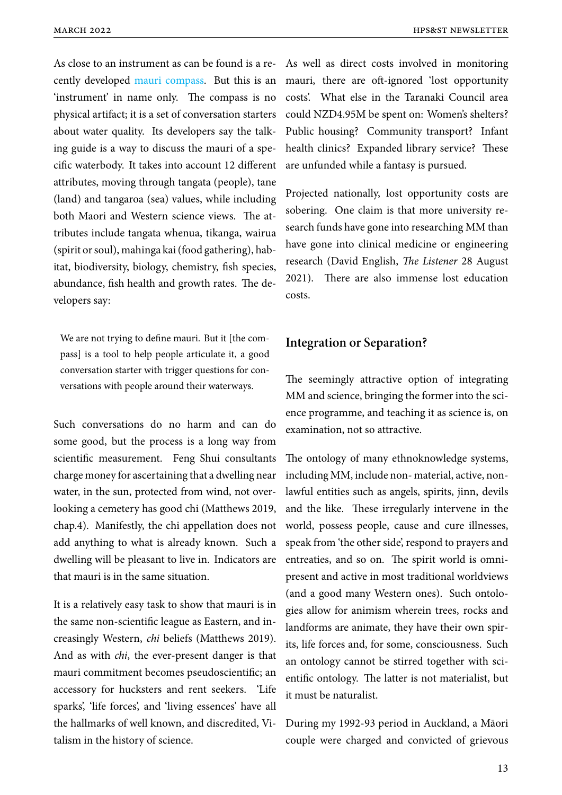As close to an instrument as can be found is a recently developed mauri compass. But this is an 'instrument' in name only. The compass is no physical artifact; it is a set of conversation starters about water qual[ity. Its develope](https://www.mauricompass.com/gisborne-herald-article.html)rs say the talking guide is a way to discuss the mauri of a specific waterbody. It takes into account 12 different attributes, moving through tangata (people), tane (land) and tangaroa (sea) values, while including both Maori and Western science views. The attributes include tangata whenua, tikanga, wairua (spirit or soul), mahinga kai (food gathering), habitat, biodiversity, biology, chemistry, fish species, abundance, fish health and growth rates. The developers say:

We are not trying to define mauri. But it [the compass] is a tool to help people articulate it, a good conversation starter with trigger questions for conversations with people around their waterways.

Such conversations do no harm and can do some good, but the process is a long way from scientific measurement. Feng Shui consultants charge money for ascertaining that a dwelling near water, in the sun, protected from wind, not overlooking a cemetery has good chi (Matthews 2019, chap.4). Manifestly, the chi appellation does not add anything to what is already known. Such a dwelling will be pleasant to live in. Indicators are that mauri is in the same situation.

It is a relatively easy task to show that mauri is in the same non-scientific league as Eastern, and increasingly Western, *chi* beliefs (Matthews 2019). And as with *chi*, the ever-present danger is that mauri commitment becomes pseudoscientific; an accessory for hucksters and rent seekers. 'Life sparks', 'life forces', and 'living essences' have all the hallmarks of well known, and discredited, Vitalism in the history of science.

As well as direct costs involved in monitoring mauri, there are oft-ignored 'lost opportunity costs'. What else in the Taranaki Council area could NZD4.95M be spent on: Women's shelters? Public housing? Community transport? Infant health clinics? Expanded library service? These are unfunded while a fantasy is pursued.

Projected nationally, lost opportunity costs are sobering. One claim is that more university research funds have gone into researching MM than have gone into clinical medicine or engineering research (David English, *The Listener* 28 August 2021). There are also immense lost education costs.

## **Integration or Separation?**

The seemingly attractive option of integrating MM and science, bringing the former into the science programme, and teaching it as science is, on examination, not so attractive.

The ontology of many ethnoknowledge systems, including MM, include non- material, active, nonlawful entities such as angels, spirits, jinn, devils and the like. These irregularly intervene in the world, possess people, cause and cure illnesses, speak from 'the other side', respond to prayers and entreaties, and so on. The spirit world is omnipresent and active in most traditional worldviews (and a good many Western ones). Such ontologies allow for animism wherein trees, rocks and landforms are animate, they have their own spirits, life forces and, for some, consciousness. Such an ontology cannot be stirred together with scientific ontology. The latter is not materialist, but it must be naturalist.

During my 1992-93 period in Auckland, a Māori couple were charged and convicted of grievous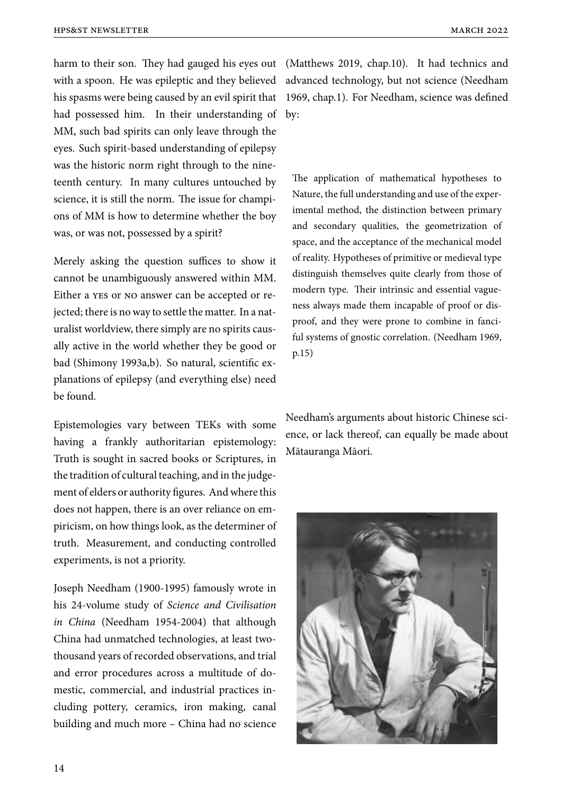harm to their son. They had gauged his eyes out (Matthews 2019, chap.10). It had technics and with a spoon. He was epileptic and they believed advanced technology, but not science (Needham his spasms were being caused by an evil spirit that had possessed him. In their understanding of by: MM, such bad spirits can only leave through the eyes. Such spirit-based understanding of epilepsy was the historic norm right through to the nineteenth century. In many cultures untouched by science, it is still the norm. The issue for champions of MM is how to determine whether the boy was, or was not, possessed by a spirit?

Merely asking the question suffices to show it cannot be unambiguously answered within MM. Either a yes or no answer can be accepted or rejected; there is no way to settle the matter. In a naturalist worldview, there simply are no spirits causally active in the world whether they be good or bad (Shimony 1993a,b). So natural, scientific explanations of epilepsy (and everything else) need be found.

Epistemologies vary between TEKs with some having a frankly authoritarian epistemology: Truth is sought in sacred books or Scriptures, in the tradition of cultural teaching, and in the judgement of elders or authority figures. And where this does not happen, there is an over reliance on empiricism, on how things look, as the determiner of truth. Measurement, and conducting controlled experiments, is not a priority.

Joseph Needham (1900-1995) famously wrote in his 24-volume study of *Science and Civilisation in China* (Needham 1954-2004) that although China had unmatched technologies, at least twothousand years of recorded observations, and trial and error procedures across a multitude of domestic, commercial, and industrial practices including pottery, ceramics, iron making, canal building and much more – China had no science

1969, chap.1). For Needham, science was defined

The application of mathematical hypotheses to Nature, the full understanding and use of the experimental method, the distinction between primary and secondary qualities, the geometrization of space, and the acceptance of the mechanical model of reality. Hypotheses of primitive or medieval type distinguish themselves quite clearly from those of modern type. Their intrinsic and essential vagueness always made them incapable of proof or disproof, and they were prone to combine in fanciful systems of gnostic correlation. (Needham 1969, p.15)

Needham's arguments about historic Chinese science, or lack thereof, can equally be made about Mātauranga Māori.

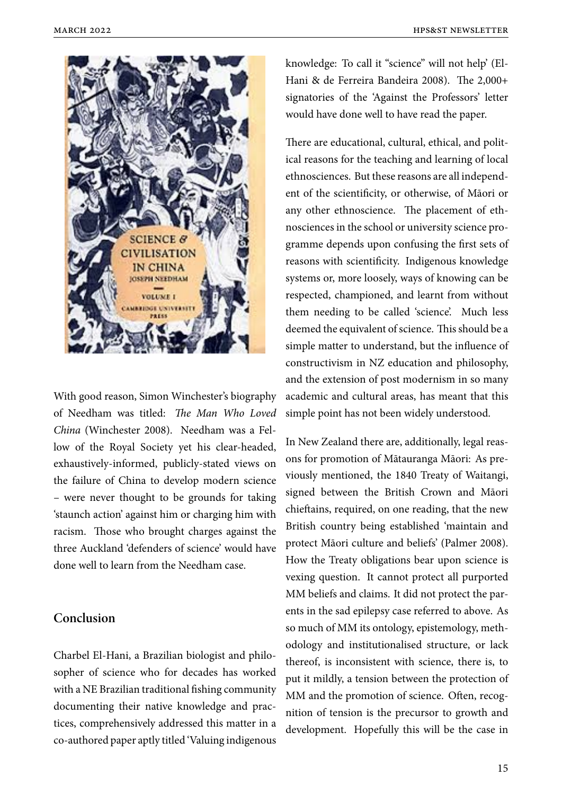

With good reason, Simon Winchester's biography of Needham was titled: *The Man Who Loved China* (Winchester 2008). Needham was a Fellow of the Royal Society yet his clear-headed, exhaustively-informed, publicly-stated views on the failure of China to develop modern science – were never thought to be grounds for taking 'staunch action' against him or charging him with racism. Those who brought charges against the three Auckland 'defenders of science' would have done well to learn from the Needham case.

# **Conclusion**

Charbel El-Hani, a Brazilian biologist and philosopher of science who for decades has worked with a NE Brazilian traditional fishing community documenting their native knowledge and practices, comprehensively addressed this matter in a co-authored paper aptly titled 'Valuing indigenous

knowledge: To call it "science" will not help' (El-Hani & de Ferreira Bandeira 2008). The 2,000+ signatories of the 'Against the Professors' letter would have done well to have read the paper.

There are educational, cultural, ethical, and political reasons for the teaching and learning of local ethnosciences. But these reasons are all independent of the scientificity, or otherwise, of Māori or any other ethnoscience. The placement of ethnosciences in the school or university science programme depends upon confusing the first sets of reasons with scientificity. Indigenous knowledge systems or, more loosely, ways of knowing can be respected, championed, and learnt from without them needing to be called 'science'. Much less deemed the equivalent of science. This should be a simple matter to understand, but the influence of constructivism in NZ education and philosophy, and the extension of post modernism in so many academic and cultural areas, has meant that this simple point has not been widely understood.

In New Zealand there are, additionally, legal reasons for promotion of Mātauranga Māori: As previously mentioned, the 1840 Treaty of Waitangi, signed between the British Crown and Māori chieftains, required, on one reading, that the new British country being established 'maintain and protect Māori culture and beliefs' (Palmer 2008). How the Treaty obligations bear upon science is vexing question. It cannot protect all purported MM beliefs and claims. It did not protect the parents in the sad epilepsy case referred to above. As so much of MM its ontology, epistemology, methodology and institutionalised structure, or lack thereof, is inconsistent with science, there is, to put it mildly, a tension between the protection of MM and the promotion of science. Often, recognition of tension is the precursor to growth and development. Hopefully this will be the case in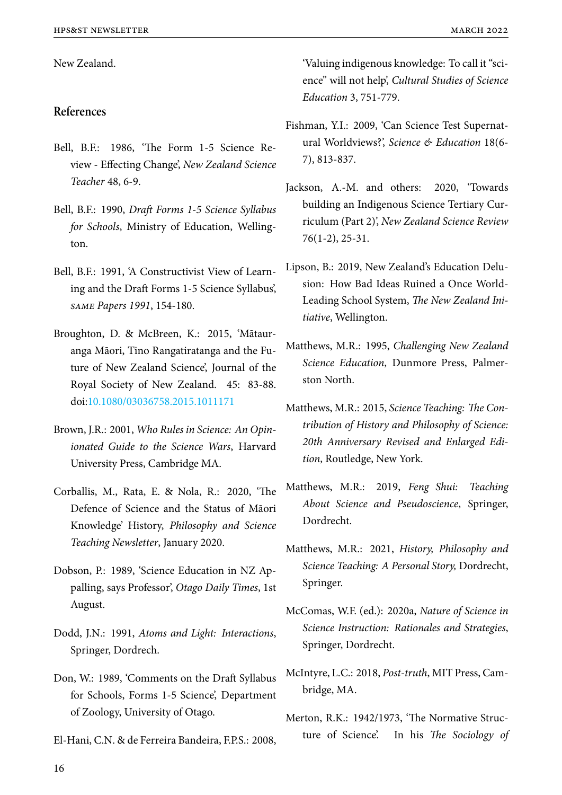New Zealand.

# **References**

- Bell, B.F.: 1986, 'The Form 1-5 Science Review - Effecting Change', *New Zealand Science Teacher* 48, 6-9.
- Bell, B.F.: 1990, *Draft Forms 1-5 Science Syllabus for Schools*, Ministry of Education, Wellington.
- Bell, B.F.: 1991, 'A Constructivist View of Learning and the Draft Forms 1-5 Science Syllabus', *same Papers 1991*, 154-180.
- Broughton, D. & McBreen, K.: 2015, 'Mātauranga Māori, Tino Rangatiratanga and the Future of New Zealand Science', Journal of the Royal Society of New Zealand. 45: 83-88. doi:10.1080/03036758.2015.1011171
- Brown, J.R.: 2001, *Who Rules in Science: An Opinion[ated Guide to the Science Wars](https://doi.org/10.1080/03036758.2015.1011171)*, Harvard University Press, Cambridge MA.
- Corballis, M., Rata, E. & Nola, R.: 2020, 'The Defence of Science and the Status of Māori Knowledge' History, *Philosophy and Science Teaching Newsletter*, January 2020.
- Dobson, P.: 1989, 'Science Education in NZ Appalling, says Professor', *Otago Daily Times*, 1st August.
- Dodd, J.N.: 1991, *Atoms and Light: Interactions*, Springer, Dordrech.
- Don, W.: 1989, 'Comments on the Draft Syllabus for Schools, Forms 1-5 Science', Department of Zoology, University of Otago.
- El-Hani, C.N. & de Ferreira Bandeira, F.P.S.: 2008,

'Valuing indigenous knowledge: To call it "science" will not help', *Cultural Studies of Science Education* 3, 751-779.

- Fishman, Y.I.: 2009, 'Can Science Test Supernatural Worldviews?', *Science & Education* 18(6- 7), 813-837.
- Jackson, A.-M. and others: 2020, 'Towards building an Indigenous Science Tertiary Curriculum (Part 2)', *New Zealand Science Review* 76(1-2), 25-31.
- Lipson, B.: 2019, New Zealand's Education Delusion: How Bad Ideas Ruined a Once World-Leading School System, *The New Zealand Initiative*, Wellington.
- Matthews, M.R.: 1995, *Challenging New Zealand Science Education*, Dunmore Press, Palmerston North.
- Matthews, M.R.: 2015, *Science Teaching: The Contribution of History and Philosophy of Science: 20th Anniversary Revised and Enlarged Edition*, Routledge, New York.
- Matthews, M.R.: 2019, *Feng Shui: Teaching About Science and Pseudoscience*, Springer, Dordrecht.
- Matthews, M.R.: 2021, *History, Philosophy and Science Teaching: A Personal Story,* Dordrecht, Springer.
- McComas, W.F. (ed.): 2020a, *Nature of Science in Science Instruction: Rationales and Strategies*, Springer, Dordrecht.
- McIntyre, L.C.: 2018, *Post-truth*, MIT Press, Cambridge, MA.
- Merton, R.K.: 1942/1973, 'The Normative Structure of Science'. In his *The Sociology of*